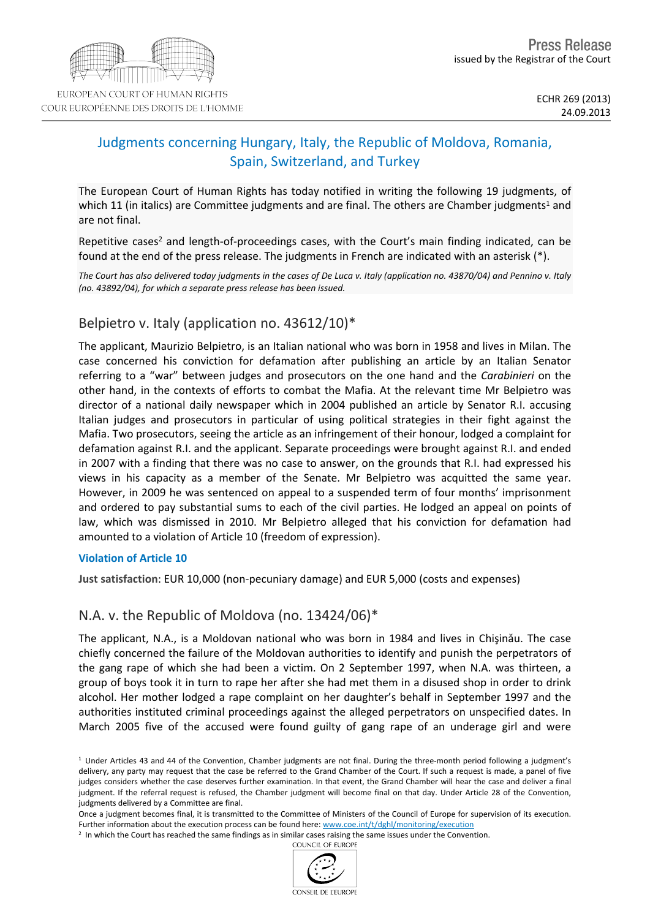# Judgments concerning Hungary, Italy, the Republic of Moldova, Romania, Spain, Switzerland, and Turkey

The European Court of Human Rights has today notified in writing the following 19 judgments, of which 11 (in italics) are Committee judgments and are final. The others are Chamber judgments<sup>1</sup> and are not final.

Repetitive cases<sup>2</sup> and length-of-proceedings cases, with the Court's main finding indicated, can be found at the end of the press release. The judgments in French are indicated with an asterisk (\*).

The Court has also delivered today judgments in the cases of De Luca v. Italy (application no. 43870/04) and Pennino v. Italy *(no. 43892/04), for which a separate press release has been issued.*

# Belpietro v. Italy (application no. 43612/10)\*

The applicant, Maurizio Belpietro, is an Italian national who was born in 1958 and lives in Milan. The case concerned his conviction for defamation after publishing an article by an Italian Senator referring to a "war" between judges and prosecutors on the one hand and the *Carabinieri* on the other hand, in the contexts of efforts to combat the Mafia. At the relevant time Mr Belpietro was director of a national daily newspaper which in 2004 published an article by Senator R.I. accusing Italian judges and prosecutors in particular of using political strategies in their fight against the Mafia. Two prosecutors, seeing the article as an infringement of their honour, lodged a complaint for defamation against R.I. and the applicant. Separate proceedings were brought against R.I. and ended in 2007 with a finding that there was no case to answer, on the grounds that R.I. had expressed his views in his capacity as a member of the Senate. Mr Belpietro was acquitted the same year. However, in 2009 he was sentenced on appeal to a suspended term of four months' imprisonment and ordered to pay substantial sums to each of the civil parties. He lodged an appeal on points of law, which was dismissed in 2010. Mr Belpietro alleged that his conviction for defamation had amounted to a violation of Article 10 (freedom of expression).

### **Violation of Article 10**

**Just satisfaction**: EUR 10,000 (non-pecuniary damage) and EUR 5,000 (costs and expenses)

# N.A. v. the Republic of Moldova (no. 13424/06)\*

The applicant, N.A., is a Moldovan national who was born in 1984 and lives in Chişinǎu. The case chiefly concerned the failure of the Moldovan authorities to identify and punish the perpetrators of the gang rape of which she had been a victim. On 2 September 1997, when N.A. was thirteen, a group of boys took it in turn to rape her after she had met them in a disused shop in order to drink alcohol. Her mother lodged a rape complaint on her daughter's behalf in September 1997 and the authorities instituted criminal proceedings against the alleged perpetrators on unspecified dates. In March 2005 five of the accused were found guilty of gang rape of an underage girl and were



 $1$  Under Articles 43 and 44 of the Convention, Chamber judgments are not final. During the three-month period following a judgment's delivery, any party may request that the case be referred to the Grand Chamber of the Court. If such a request is made, a panel of five judges considers whether the case deserves further examination. In that event, the Grand Chamber will hear the case and deliver a final judgment. If the referral request is refused, the Chamber judgment will become final on that day. Under Article 28 of the Convention, judgments delivered by a Committee are final.

Once a judgment becomes final, it is transmitted to the Committee of Ministers of the Council of Europe for supervision of its execution. Further information about the execution process can be found here: [www.coe.int/t/dghl/monitoring/execution](http://www.coe.int/t/dghl/monitoring/execution)

<sup>&</sup>lt;sup>2</sup> In which the Court has reached the same findings as in similar cases raising the same issues under the Convention.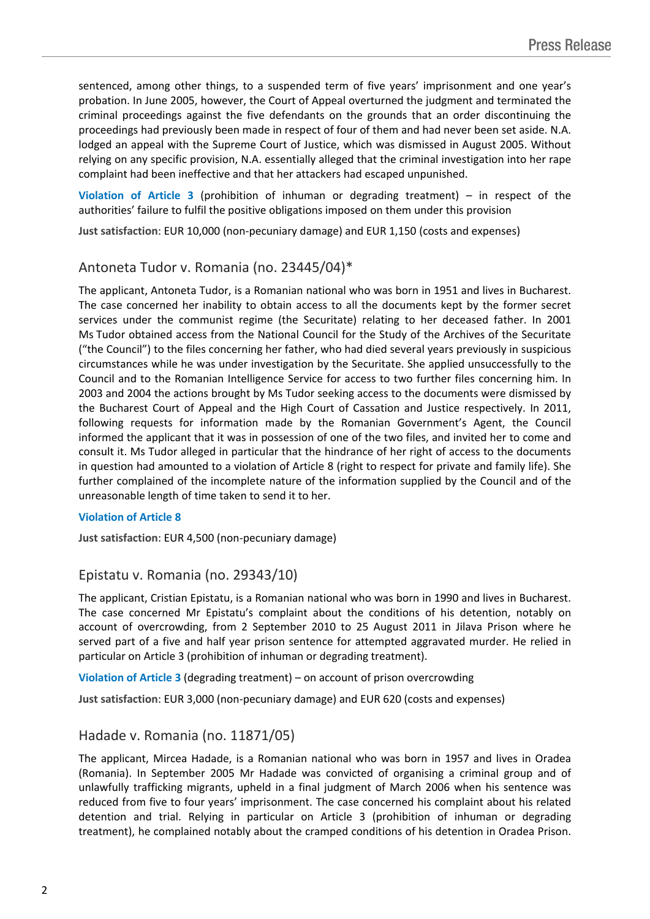sentenced, among other things, to a suspended term of five years' imprisonment and one year's probation. In June 2005, however, the Court of Appeal overturned the judgment and terminated the criminal proceedings against the five defendants on the grounds that an order discontinuing the proceedings had previously been made in respect of four of them and had never been set aside. N.A. lodged an appeal with the Supreme Court of Justice, which was dismissed in August 2005. Without relying on any specific provision, N.A. essentially alleged that the criminal investigation into her rape complaint had been ineffective and that her attackers had escaped unpunished.

**Violation of Article 3** (prohibition of inhuman or degrading treatment) – in respect of the authorities' failure to fulfil the positive obligations imposed on them under this provision

**Just satisfaction**: EUR 10,000 (non-pecuniary damage) and EUR 1,150 (costs and expenses)

## Antoneta Tudor v. Romania (no. 23445/04)\*

The applicant, Antoneta Tudor, is a Romanian national who was born in 1951 and lives in Bucharest. The case concerned her inability to obtain access to all the documents kept by the former secret services under the communist regime (the Securitate) relating to her deceased father. In 2001 Ms Tudor obtained access from the National Council for the Study of the Archives of the Securitate ("the Council") to the files concerning her father, who had died several years previously in suspicious circumstances while he was under investigation by the Securitate. She applied unsuccessfully to the Council and to the Romanian Intelligence Service for access to two further files concerning him. In 2003 and 2004 the actions brought by Ms Tudor seeking access to the documents were dismissed by the Bucharest Court of Appeal and the High Court of Cassation and Justice respectively. In 2011, following requests for information made by the Romanian Government's Agent, the Council informed the applicant that it was in possession of one of the two files, and invited her to come and consult it. Ms Tudor alleged in particular that the hindrance of her right of access to the documents in question had amounted to a violation of Article 8 (right to respect for private and family life). She further complained of the incomplete nature of the information supplied by the Council and of the unreasonable length of time taken to send it to her.

#### **Violation of Article 8**

**Just satisfaction**: EUR 4,500 (non-pecuniary damage)

## Epistatu v. Romania (no. 29343/10)

The applicant, Cristian Epistatu, is a Romanian national who was born in 1990 and lives in Bucharest. The case concerned Mr Epistatu's complaint about the conditions of his detention, notably on account of overcrowding, from 2 September 2010 to 25 August 2011 in Jilava Prison where he served part of a five and half year prison sentence for attempted aggravated murder. He relied in particular on Article 3 (prohibition of inhuman or degrading treatment).

**Violation of Article 3** (degrading treatment) – on account of prison overcrowding

**Just satisfaction**: EUR 3,000 (non-pecuniary damage) and EUR 620 (costs and expenses)

## Hadade v. Romania (no. 11871/05)

The applicant, Mircea Hadade, is a Romanian national who was born in 1957 and lives in Oradea (Romania). In September 2005 Mr Hadade was convicted of organising a criminal group and of unlawfully trafficking migrants, upheld in a final judgment of March 2006 when his sentence was reduced from five to four years' imprisonment. The case concerned his complaint about his related detention and trial. Relying in particular on Article 3 (prohibition of inhuman or degrading treatment), he complained notably about the cramped conditions of his detention in Oradea Prison.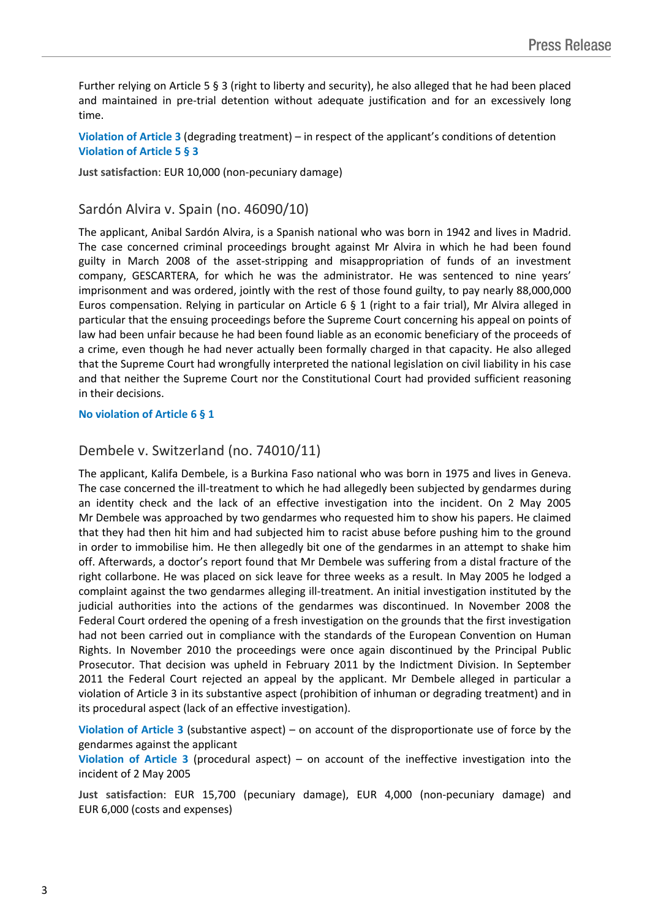Further relying on Article 5 § 3 (right to liberty and security), he also alleged that he had been placed and maintained in pre-trial detention without adequate justification and for an excessively long time.

**Violation of Article 3** (degrading treatment) – in respect of the applicant's conditions of detention **Violation of Article 5 § 3**

**Just satisfaction**: EUR 10,000 (non-pecuniary damage)

## Sardón Alvira v. Spain (no. 46090/10)

The applicant, Anibal Sardón Alvira, is a Spanish national who was born in 1942 and lives in Madrid. The case concerned criminal proceedings brought against Mr Alvira in which he had been found guilty in March 2008 of the asset-stripping and misappropriation of funds of an investment company, GESCARTERA, for which he was the administrator. He was sentenced to nine years' imprisonment and was ordered, jointly with the rest of those found guilty, to pay nearly 88,000,000 Euros compensation. Relying in particular on Article 6 § 1 (right to a fair trial), Mr Alvira alleged in particular that the ensuing proceedings before the Supreme Court concerning his appeal on points of law had been unfair because he had been found liable as an economic beneficiary of the proceeds of a crime, even though he had never actually been formally charged in that capacity. He also alleged that the Supreme Court had wrongfully interpreted the national legislation on civil liability in his case and that neither the Supreme Court nor the Constitutional Court had provided sufficient reasoning in their decisions.

#### **No violation of Article 6 § 1**

### Dembele v. Switzerland (no. 74010/11)

The applicant, Kalifa Dembele, is a Burkina Faso national who was born in 1975 and lives in Geneva. The case concerned the ill-treatment to which he had allegedly been subjected by gendarmes during an identity check and the lack of an effective investigation into the incident. On 2 May 2005 Mr Dembele was approached by two gendarmes who requested him to show his papers. He claimed that they had then hit him and had subjected him to racist abuse before pushing him to the ground in order to immobilise him. He then allegedly bit one of the gendarmes in an attempt to shake him off. Afterwards, a doctor's report found that Mr Dembele was suffering from a distal fracture of the right collarbone. He was placed on sick leave for three weeks as a result. In May 2005 he lodged a complaint against the two gendarmes alleging ill-treatment. An initial investigation instituted by the judicial authorities into the actions of the gendarmes was discontinued. In November 2008 the Federal Court ordered the opening of a fresh investigation on the grounds that the first investigation had not been carried out in compliance with the standards of the European Convention on Human Rights. In November 2010 the proceedings were once again discontinued by the Principal Public Prosecutor. That decision was upheld in February 2011 by the Indictment Division. In September 2011 the Federal Court rejected an appeal by the applicant. Mr Dembele alleged in particular a violation of Article 3 in its substantive aspect (prohibition of inhuman or degrading treatment) and in its procedural aspect (lack of an effective investigation).

**Violation of Article 3** (substantive aspect) – on account of the disproportionate use of force by the gendarmes against the applicant

**Violation of Article 3** (procedural aspect) – on account of the ineffective investigation into the incident of 2 May 2005

**Just satisfaction**: EUR 15,700 (pecuniary damage), EUR 4,000 (non-pecuniary damage) and EUR 6,000 (costs and expenses)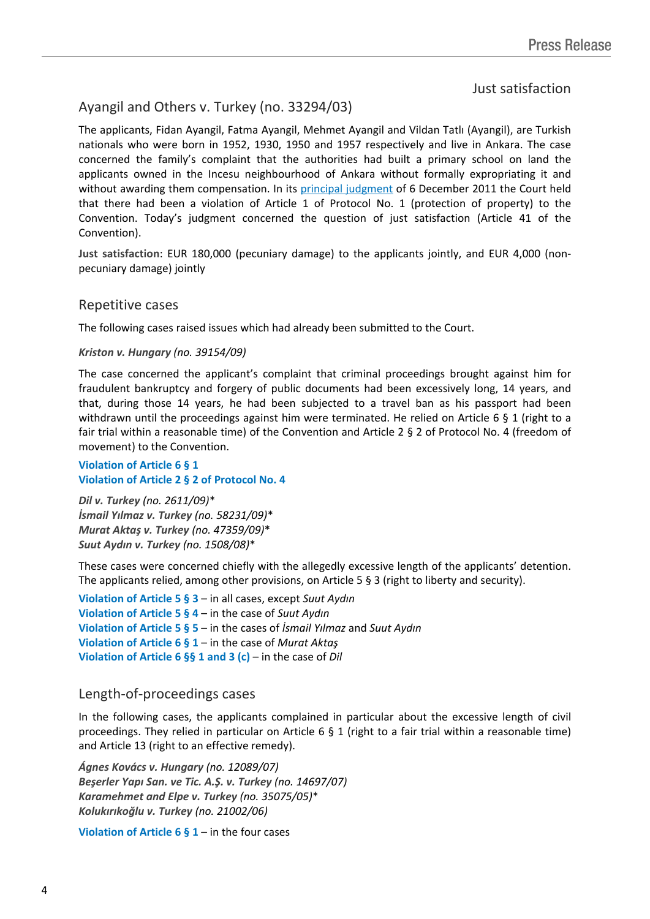## Just satisfaction

# Ayangil and Others v. Turkey (no. 33294/03)

The applicants, Fidan Ayangil, Fatma Ayangil, Mehmet Ayangil and Vildan Tatlı (Ayangil), are Turkish nationals who were born in 1952, 1930, 1950 and 1957 respectively and live in Ankara. The case concerned the family's complaint that the authorities had built a primary school on land the applicants owned in the Incesu neighbourhood of Ankara without formally expropriating it and without awarding them compensation. In its [principal](http://hudoc.echr.coe.int/sites/eng/pages/search.aspx?i=001-107725) [judgment](http://hudoc.echr.coe.int/sites/eng/pages/search.aspx?i=001-107725) of 6 December 2011 the Court held that there had been a violation of Article 1 of Protocol No. 1 (protection of property) to the Convention. Today's judgment concerned the question of just satisfaction (Article 41 of the Convention).

**Just satisfaction**: EUR 180,000 (pecuniary damage) to the applicants jointly, and EUR 4,000 (nonpecuniary damage) jointly

### Repetitive cases

The following cases raised issues which had already been submitted to the Court.

#### *Kriston v. Hungary (no. 39154/09)*

The case concerned the applicant's complaint that criminal proceedings brought against him for fraudulent bankruptcy and forgery of public documents had been excessively long, 14 years, and that, during those 14 years, he had been subjected to a travel ban as his passport had been withdrawn until the proceedings against him were terminated. He relied on Article 6 § 1 (right to a fair trial within a reasonable time) of the Convention and Article 2 § 2 of Protocol No. 4 (freedom of movement) to the Convention.

#### **Violation of Article 6 § 1 Violation of Article 2 § 2 of Protocol No. 4**

*Dil v. Turkey (no. 2611/09)*\* *İsmail Yılmaz v. Turkey (no. 58231/09)*\* *Murat Aktaş v. Turkey (no. 47359/09)*\* *Suut Aydın v. Turkey (no. 1508/08)*\*

These cases were concerned chiefly with the allegedly excessive length of the applicants' detention. The applicants relied, among other provisions, on Article 5 § 3 (right to liberty and security).

**Violation of Article 5 § 3** – in all cases, except *Suut Aydın* **Violation of Article 5 § 4** – in the case of *Suut Aydın* **Violation of Article 5 § 5** – in the cases of *İsmail Yılmaz* and *Suut Aydın* **Violation of Article 6 § 1** – in the case of *Murat Aktaş* **Violation of Article 6 §§ 1 and 3 (c)** – in the case of *Dil*

### Length-of-proceedings cases

In the following cases, the applicants complained in particular about the excessive length of civil proceedings. They relied in particular on Article 6 § 1 (right to a fair trial within a reasonable time) and Article 13 (right to an effective remedy).

*Ágnes Kovács v. Hungary (no. 12089/07) Beşerler Yapı San. ve Tic. A.Ş. v. Turkey (no. 14697/07) Karamehmet and Elpe v. Turkey (no. 35075/05)*\* *Kolukırıkoğlu v. Turkey (no. 21002/06)*

**Violation of Article 6 § 1** – in the four cases